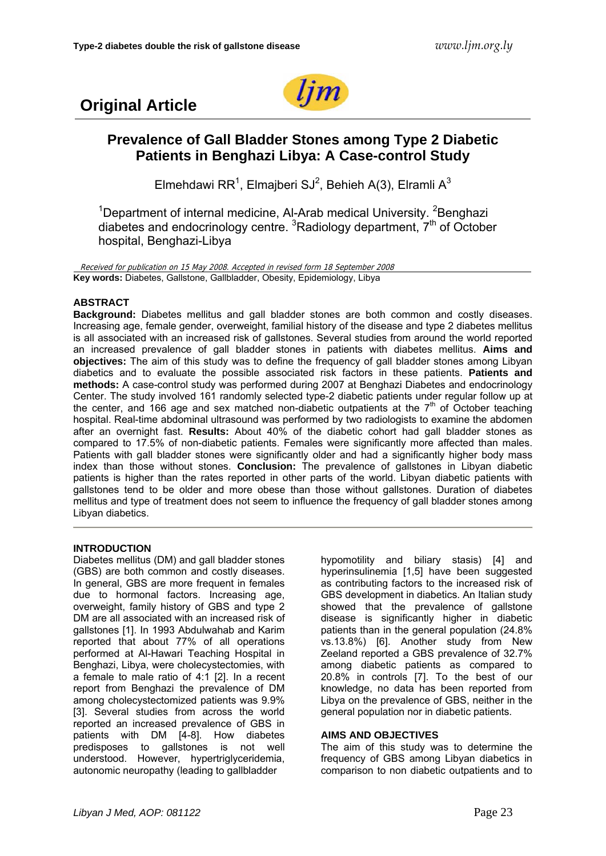



# **Prevalence of Gall Bladder Stones among Type 2 Diabetic Patients in Benghazi Libya: A Case-control Study**

Elmehdawi RR<sup>1</sup>, Elmajberi SJ<sup>2</sup>, Behieh A(3), Elramli A<sup>3</sup>

<sup>1</sup>Department of internal medicine, Al-Arab medical University. <sup>2</sup>Benghazi diabetes and endocrinology centre.  $3R$ adiology department,  $7<sup>th</sup>$  of October hospital, Benghazi-Libya

Received for publication on 15 May 2008. Accepted in revised form 18 September 2008 **Key words:** Diabetes, Gallstone, Gallbladder, Obesity, Epidemiology, Libya

## **ABSTRACT**

**Background:** Diabetes mellitus and gall bladder stones are both common and costly diseases. Increasing age, female gender, overweight, familial history of the disease and type 2 diabetes mellitus is all associated with an increased risk of gallstones. Several studies from around the world reported an increased prevalence of gall bladder stones in patients with diabetes mellitus. **Aims and objectives:** The aim of this study was to define the frequency of gall bladder stones among Libyan diabetics and to evaluate the possible associated risk factors in these patients. **Patients and methods:** A case-control study was performed during 2007 at Benghazi Diabetes and endocrinology Center. The study involved 161 randomly selected type-2 diabetic patients under regular follow up at the center, and 166 age and sex matched non-diabetic outpatients at the  $7<sup>th</sup>$  of October teaching hospital. Real-time abdominal ultrasound was performed by two radiologists to examine the abdomen after an overnight fast. **Results:** About 40% of the diabetic cohort had gall bladder stones as compared to 17.5% of non-diabetic patients. Females were significantly more affected than males. Patients with gall bladder stones were significantly older and had a significantly higher body mass index than those without stones. **Conclusion:** The prevalence of gallstones in Libyan diabetic patients is higher than the rates reported in other parts of the world. Libyan diabetic patients with gallstones tend to be older and more obese than those without gallstones. Duration of diabetes mellitus and type of treatment does not seem to influence the frequency of gall bladder stones among Libyan diabetics.

## **INTRODUCTION**

Diabetes mellitus (DM) and gall bladder stones (GBS) are both common and costly diseases. In general, GBS are more frequent in females due to hormonal factors. Increasing age, overweight, family history of GBS and type 2 DM are all associated with an increased risk of gallstones [1]. In 1993 Abdulwahab and Karim reported that about 77% of all operations performed at Al-Hawari Teaching Hospital in Benghazi, Libya, were cholecystectomies, with a female to male ratio of 4:1 [2]. In a recent report from Benghazi the prevalence of DM among cholecystectomized patients was 9.9% [3]. Several studies from across the world reported an increased prevalence of GBS in patients with DM [4-8]. How diabetes predisposes to gallstones is not well understood. However, hypertriglyceridemia, autonomic neuropathy (leading to gallbladder

hypomotility and biliary stasis) [4] and hyperinsulinemia [1,5] have been suggested as contributing factors to the increased risk of GBS development in diabetics. An Italian study showed that the prevalence of gallstone disease is significantly higher in diabetic patients than in the general population (24.8% vs.13.8%) [6]. Another study from New Zeeland reported a GBS prevalence of 32.7% among diabetic patients as compared to 20.8% in controls [7]. To the best of our knowledge, no data has been reported from Libya on the prevalence of GBS, neither in the general population nor in diabetic patients.

## **AIMS AND OBJECTIVES**

The aim of this study was to determine the frequency of GBS among Libyan diabetics in comparison to non diabetic outpatients and to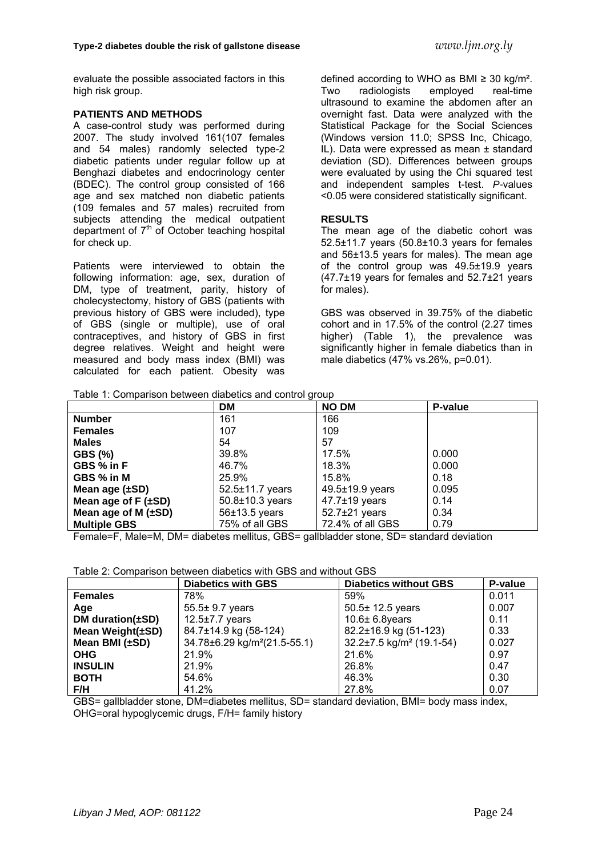evaluate the possible associated factors in this high risk group.

### **PATIENTS AND METHODS**

A case-control study was performed during 2007. The study involved 161(107 females and 54 males) randomly selected type-2 diabetic patients under regular follow up at Benghazi diabetes and endocrinology center (BDEC). The control group consisted of 166 age and sex matched non diabetic patients (109 females and 57 males) recruited from subjects attending the medical outpatient department of  $7<sup>th</sup>$  of October teaching hospital for check up.

Patients were interviewed to obtain the following information: age, sex, duration of DM, type of treatment, parity, history of cholecystectomy, history of GBS (patients with previous history of GBS were included), type of GBS (single or multiple), use of oral contraceptives, and history of GBS in first degree relatives. Weight and height were measured and body mass index (BMI) was calculated for each patient. Obesity was defined according to WHO as BMI ≥ 30 kg/m². Two radiologists employed real-time ultrasound to examine the abdomen after an overnight fast. Data were analyzed with the Statistical Package for the Social Sciences (Windows version 11.0; SPSS Inc, Chicago, IL). Data were expressed as mean ± standard deviation (SD). Differences between groups were evaluated by using the Chi squared test and independent samples t-test. *P-*values <0.05 were considered statistically significant.

#### **RESULTS**

The mean age of the diabetic cohort was 52.5±11.7 years (50.8±10.3 years for females and 56±13.5 years for males). The mean age of the control group was 49.5±19.9 years (47.7±19 years for females and 52.7±21 years for males).

GBS was observed in 39.75% of the diabetic cohort and in 17.5% of the control (2.27 times higher) (Table 1), the prevalence was significantly higher in female diabetics than in male diabetics (47% vs.26%, p=0.01).

Table 1: Comparison between diabetics and control group

|                             | DM                    | <b>NO DM</b>        | P-value |
|-----------------------------|-----------------------|---------------------|---------|
| <b>Number</b>               | 161                   | 166                 |         |
| <b>Females</b>              | 107                   | 109                 |         |
| <b>Males</b>                | 54                    | 57                  |         |
| <b>GBS (%)</b>              | 39.8%                 | 17.5%               | 0.000   |
| GBS % in F                  | 46.7%                 | 18.3%               | 0.000   |
| GBS % in M                  | 25.9%                 | 15.8%               | 0.18    |
| Mean age $(\pm SD)$         | $52.5 \pm 11.7$ years | 49.5±19.9 years     | 0.095   |
| Mean age of $F$ ( $\pm$ SD) | $50.8 \pm 10.3$ years | $47.7 \pm 19$ years | 0.14    |
| Mean age of M $(\pm SD)$    | $56±13.5$ years       | $52.7\pm21$ years   | 0.34    |
| <b>Multiple GBS</b>         | 75% of all GBS        | 72.4% of all GBS    | 0.79    |

Female=F, Male=M, DM= diabetes mellitus, GBS= gallbladder stone, SD= standard deviation

|                        | <b>Diabetics with GBS</b>                | <b>Diabetics without GBS</b>               | P-value |
|------------------------|------------------------------------------|--------------------------------------------|---------|
| <b>Females</b>         | 78%                                      | 59%                                        | 0.011   |
| Age                    | 55.5± 9.7 years                          | $50.5 \pm 12.5$ years                      | 0.007   |
| DM duration $(\pm SD)$ | $12.5 \pm 7.7$ years                     | $10.6\pm 6.8$ years                        | 0.11    |
| Mean Weight(±SD)       | 84.7±14.9 kg (58-124)                    | 82.2±16.9 kg (51-123)                      | 0.33    |
| Mean BMI $(\pm SD)$    | 34.78±6.29 kg/m <sup>2</sup> (21.5-55.1) | $32.2 \pm 7.5$ kg/m <sup>2</sup> (19.1-54) | 0.027   |
| <b>OHG</b>             | 21.9%                                    | 21.6%                                      | 0.97    |
| <b>INSULIN</b>         | 21.9%                                    | 26.8%                                      | 0.47    |
| <b>BOTH</b>            | 54.6%                                    | 46.3%                                      | 0.30    |
| F/H                    | 41.2%                                    | 27.8%                                      | 0.07    |

GBS= gallbladder stone, DM=diabetes mellitus, SD= standard deviation, BMI= body mass index, OHG=oral hypoglycemic drugs, F/H= family history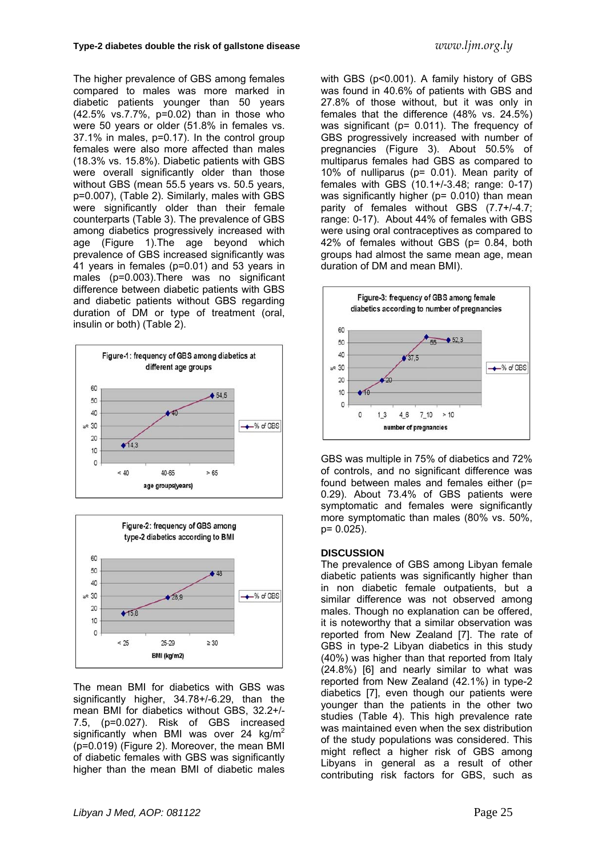The higher prevalence of GBS among females compared to males was more marked in diabetic patients younger than 50 years (42.5% vs.7.7%, p=0.02) than in those who were 50 years or older (51.8% in females vs. 37.1% in males, p=0.17). In the control group females were also more affected than males (18.3% vs. 15.8%). Diabetic patients with GBS were overall significantly older than those without GBS (mean 55.5 years vs. 50.5 years, p=0.007), (Table 2). Similarly, males with GBS were significantly older than their female counterparts (Table 3). The prevalence of GBS among diabetics progressively increased with age (Figure 1).The age beyond which prevalence of GBS increased significantly was 41 years in females (p=0.01) and 53 years in males (p=0.003).There was no significant difference between diabetic patients with GBS and diabetic patients without GBS regarding duration of DM or type of treatment (oral, insulin or both) (Table 2).





The mean BMI for diabetics with GBS was significantly higher, 34.78+/-6.29, than the mean BMI for diabetics without GBS, 32.2+/- 7.5, (p=0.027). Risk of GBS increased significantly when BMI was over 24  $kg/m<sup>2</sup>$ (p=0.019) (Figure 2). Moreover, the mean BMI of diabetic females with GBS was significantly higher than the mean BMI of diabetic males

with GBS (p<0.001). A family history of GBS was found in 40.6% of patients with GBS and 27.8% of those without, but it was only in females that the difference (48% vs. 24.5%) was significant (p= 0.011). The frequency of GBS progressively increased with number of pregnancies (Figure 3). About 50.5% of multiparus females had GBS as compared to 10% of nulliparus (p= 0.01). Mean parity of females with GBS (10.1+/-3.48; range: 0-17) was significantly higher ( $p = 0.010$ ) than mean parity of females without GBS (7.7+/-4.7; range: 0-17). About 44% of females with GBS were using oral contraceptives as compared to 42% of females without GBS (p= 0.84, both groups had almost the same mean age, mean duration of DM and mean BMI).



GBS was multiple in 75% of diabetics and 72% of controls, and no significant difference was found between males and females either (p= 0.29). About 73.4% of GBS patients were symptomatic and females were significantly more symptomatic than males (80% vs. 50%, p= 0.025).

#### **DISCUSSION**

The prevalence of GBS among Libyan female diabetic patients was significantly higher than in non diabetic female outpatients, but a similar difference was not observed among males. Though no explanation can be offered, it is noteworthy that a similar observation was reported from New Zealand [7]. The rate of GBS in type-2 Libyan diabetics in this study (40%) was higher than that reported from Italy (24.8%) [6] and nearly similar to what was reported from New Zealand (42.1%) in type-2 diabetics [7], even though our patients were younger than the patients in the other two studies (Table 4). This high prevalence rate was maintained even when the sex distribution of the study populations was considered. This might reflect a higher risk of GBS among Libyans in general as a result of other contributing risk factors for GBS, such as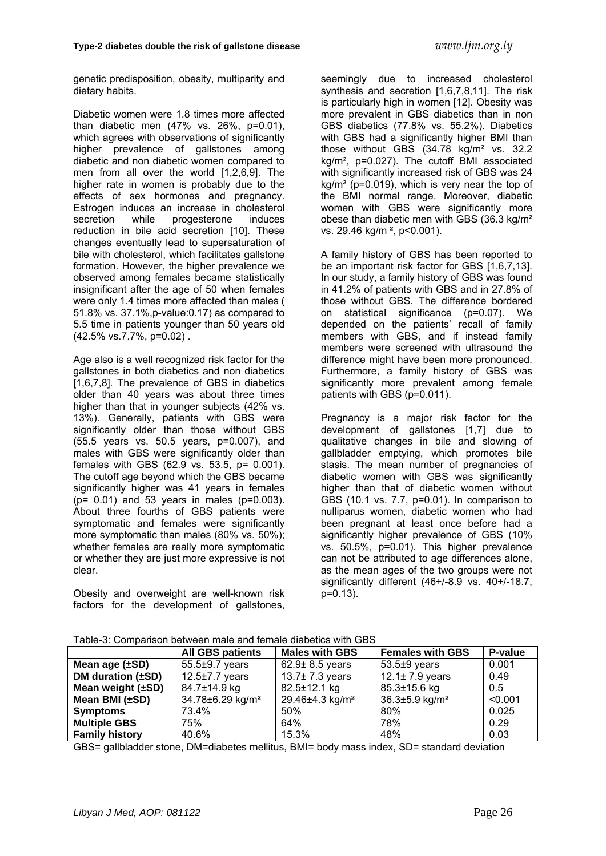genetic predisposition, obesity, multiparity and dietary habits.

Diabetic women were 1.8 times more affected than diabetic men (47% vs. 26%, p=0.01), which agrees with observations of significantly higher prevalence of gallstones among diabetic and non diabetic women compared to men from all over the world [1,2,6,9]. The higher rate in women is probably due to the effects of sex hormones and pregnancy. Estrogen induces an increase in cholesterol secretion while progesterone induces reduction in bile acid secretion [10]. These changes eventually lead to supersaturation of bile with cholesterol, which facilitates gallstone formation. However, the higher prevalence we observed among females became statistically insignificant after the age of 50 when females were only 1.4 times more affected than males ( 51.8% vs. 37.1%,p-value:0.17) as compared to 5.5 time in patients younger than 50 years old (42.5% vs.7.7%, p=0.02) .

Age also is a well recognized risk factor for the gallstones in both diabetics and non diabetics [1,6,7,8]. The prevalence of GBS in diabetics older than 40 years was about three times higher than that in younger subjects (42% vs. 13%). Generally, patients with GBS were significantly older than those without GBS (55.5 years vs. 50.5 years, p=0.007), and males with GBS were significantly older than females with GBS (62.9 vs. 53.5, p= 0.001). The cutoff age beyond which the GBS became significantly higher was 41 years in females (p= 0.01) and 53 years in males (p=0.003). About three fourths of GBS patients were symptomatic and females were significantly more symptomatic than males (80% vs. 50%); whether females are really more symptomatic or whether they are just more expressive is not clear.

Obesity and overweight are well-known risk factors for the development of gallstones, seemingly due to increased cholesterol synthesis and secretion [1,6,7,8,11]. The risk is particularly high in women [12]. Obesity was more prevalent in GBS diabetics than in non GBS diabetics (77.8% vs. 55.2%). Diabetics with GBS had a significantly higher BMI than those without GBS (34.78 kg/m² vs. 32.2 kg/m², p=0.027). The cutoff BMI associated with significantly increased risk of GBS was 24  $ka/m<sup>2</sup>$  (p=0.019), which is very near the top of the BMI normal range. Moreover, diabetic women with GBS were significantly more obese than diabetic men with GBS (36.3 kg/m² vs. 29.46 kg/m ², p<0.001).

A family history of GBS has been reported to be an important risk factor for GBS [1,6,7,13]. In our study, a family history of GBS was found in 41.2% of patients with GBS and in 27.8% of those without GBS. The difference bordered on statistical significance (p=0.07). We depended on the patients' recall of family members with GBS, and if instead family members were screened with ultrasound the difference might have been more pronounced. Furthermore, a family history of GBS was significantly more prevalent among female patients with GBS (p=0.011).

Pregnancy is a major risk factor for the development of gallstones [1,7] due to qualitative changes in bile and slowing of gallbladder emptying, which promotes bile stasis. The mean number of pregnancies of diabetic women with GBS was significantly higher than that of diabetic women without GBS (10.1 vs. 7.7, p=0.01). In comparison to nulliparus women, diabetic women who had been pregnant at least once before had a significantly higher prevalence of GBS (10% vs. 50.5%, p=0.01). This higher prevalence can not be attributed to age differences alone, as the mean ages of the two groups were not significantly different (46+/-8.9 vs. 40+/-18.7, p=0.13).

|                        | P-value<br><b>Females with GBS</b><br><b>Males with GBS</b><br><b>All GBS patients</b> |                             |                                  |         |  |
|------------------------|----------------------------------------------------------------------------------------|-----------------------------|----------------------------------|---------|--|
|                        |                                                                                        |                             |                                  |         |  |
| Mean age $(\pm SD)$    | $55.5\pm9.7$ years                                                                     | $62.9 \pm 8.5$ years        | $53.5\pm9$ years                 | 0.001   |  |
| DM duration $(\pm SD)$ | 12.5 $\pm$ 7.7 years                                                                   | 13.7 $±$ 7.3 years          | 12.1 $±$ 7.9 years               | 0.49    |  |
| Mean weight $(\pm SD)$ | 84.7±14.9 kg                                                                           | 82.5±12.1 kg                | 85.3±15.6 kg                     | 0.5     |  |
| Mean BMI $(\pm SD)$    | 34.78±6.29 kg/m <sup>2</sup>                                                           | 29.46±4.3 kg/m <sup>2</sup> | $36.3 \pm 5.9$ kg/m <sup>2</sup> | < 0.001 |  |
| <b>Symptoms</b>        | 73.4%                                                                                  | 50%                         | 80%                              | 0.025   |  |
| <b>Multiple GBS</b>    | 75%                                                                                    | 64%                         | 78%                              | 0.29    |  |
| <b>Family history</b>  | 40.6%                                                                                  | 15.3%                       | 48%                              | 0.03    |  |

Table-3: Comparison between male and female diabetics with GBS

GBS= gallbladder stone, DM=diabetes mellitus, BMI= body mass index, SD= standard deviation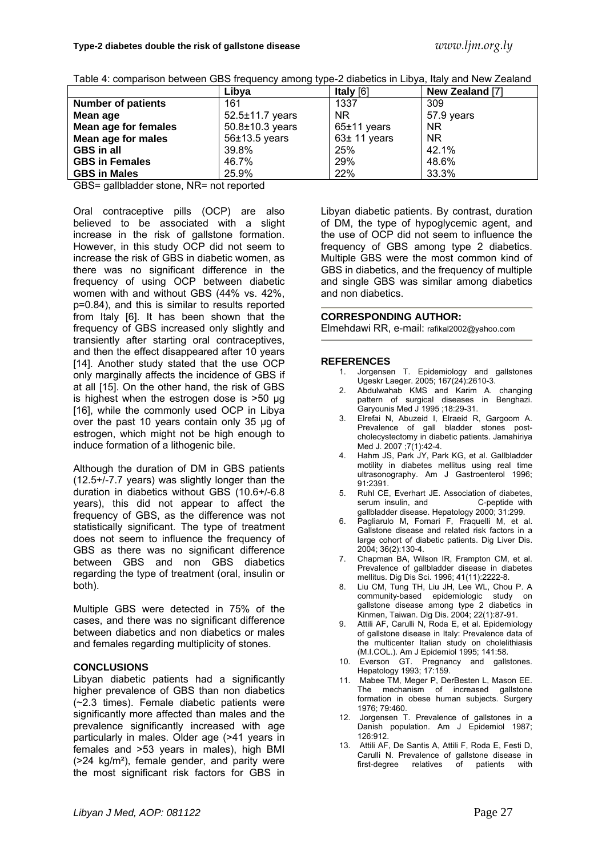|  |  | Table 4: comparison between GBS frequency among type-2 diabetics in Libya, Italy and New Zealand |
|--|--|--------------------------------------------------------------------------------------------------|
|  |  |                                                                                                  |

|                           | Libya           | Italy [6]     | New Zealand [7] |
|---------------------------|-----------------|---------------|-----------------|
| <b>Number of patients</b> | 161             | 1337          | 309             |
| Mean age                  | 52.5±11.7 years | <b>NR</b>     | 57.9 years      |
| Mean age for females      | 50.8±10.3 years | $65±11$ years | <b>NR</b>       |
| Mean age for males        | $56±13.5$ years | $63±11$ years | <b>NR</b>       |
| <b>GBS</b> in all         | 39.8%           | 25%           | 42.1%           |
| <b>GBS in Females</b>     | 46.7%           | 29%           | 48.6%           |
| <b>GBS in Males</b>       | 25.9%           | 22%           | 33.3%           |

GBS= gallbladder stone, NR= not reported

Oral contraceptive pills (OCP) are also believed to be associated with a slight increase in the risk of gallstone formation. However, in this study OCP did not seem to increase the risk of GBS in diabetic women, as there was no significant difference in the frequency of using OCP between diabetic women with and without GBS (44% vs. 42%, p=0.84), and this is similar to results reported from Italy [6]. It has been shown that the frequency of GBS increased only slightly and transiently after starting oral contraceptives, and then the effect disappeared after 10 years [14]. Another study stated that the use OCP only marginally affects the incidence of GBS if at all [15]. On the other hand, the risk of GBS is highest when the estrogen dose is >50 µg [16], while the commonly used OCP in Libya over the past 10 years contain only 35 µg of estrogen, which might not be high enough to induce formation of a lithogenic bile.

Although the duration of DM in GBS patients (12.5+/-7.7 years) was slightly longer than the duration in diabetics without GBS (10.6+/-6.8 years), this did not appear to affect the frequency of GBS, as the difference was not statistically significant. The type of treatment does not seem to influence the frequency of GBS as there was no significant difference between GBS and non GBS diabetics regarding the type of treatment (oral, insulin or both).

Multiple GBS were detected in 75% of the cases, and there was no significant difference between diabetics and non diabetics or males and females regarding multiplicity of stones.

## **CONCLUSIONS**

Libyan diabetic patients had a significantly higher prevalence of GBS than non diabetics (~2.3 times). Female diabetic patients were significantly more affected than males and the prevalence significantly increased with age particularly in males. Older age (>41 years in females and >53 years in males), high BMI (>24 kg/m²), female gender, and parity were the most significant risk factors for GBS in

Libyan diabetic patients. By contrast, duration of DM, the type of hypoglycemic agent, and the use of OCP did not seem to influence the frequency of GBS among type 2 diabetics. Multiple GBS were the most common kind of GBS in diabetics, and the frequency of multiple and single GBS was similar among diabetics and non diabetics.

#### **CORRESPONDING AUTHOR:**

Elmehdawi RR, e-mail: rafikal2002@yahoo.com

#### **REFERENCES**

- 1. Jorgensen T. Epidemiology and gallstones Ugeskr Laeger. 2005; 167(24):2610-3.
- 2. Abdulwahab KMS and Karim A. changing pattern of surgical diseases in Benghazi. Garyounis Med J 1995 ;18:29-31.
- 3. Elrefai N, Abuzeid I, Elraeid R, Gargoom A. Prevalence of gall bladder stones postcholecystectomy in diabetic patients. Jamahiriya Med J. 2007 ;7(1):42-4.
- 4. Hahm JS, Park JY, Park KG, et al. Gallbladder motility in diabetes mellitus using real time ultrasonography. Am J Gastroenterol 1996; 91:2391.
- 5. Ruhl CE, Everhart JE. Association of diabetes, serum insulin, and **C-peptide with** gallbladder disease. Hepatology 2000; 31:299.
- 6. Pagliarulo M, Fornari F, Fraquelli M, et al. Gallstone disease and related risk factors in a large cohort of diabetic patients. Dig Liver Dis. 2004; 36(2):130-4.
- 7. Chapman BA, Wilson IR, Frampton CM, et al. Prevalence of gallbladder disease in diabetes mellitus. Dig Dis Sci. 1996; 41(11):2222-8.
- 8. Liu CM, Tung TH, Liu JH, Lee WL, Chou P. A community-based epidemiologic study on gallstone disease among type 2 diabetics in Kinmen, Taiwan. Dig Dis. 2004; 22(1):87-91.
- 9. Attili AF, Carulli N, Roda E, et al. Epidemiology of gallstone disease in Italy: Prevalence data of the multicenter Italian study on cholelithiasis (M.I.COL.). Am J Epidemiol 1995; 141:58.
- 10. Everson GT. Pregnancy and gallstones. Hepatology 1993; 17:159.
- 11. Mabee TM, Meger P, DerBesten L, Mason EE. The mechanism of increased gallstone formation in obese human subjects. Surgery 1976; 79:460.
- 12. Jorgensen T. Prevalence of gallstones in a Danish population. Am J Epidemiol 1987; 126:912.
- 13. Attili AF, De Santis A, Attili F, Roda E, Festi D, Carulli N. Prevalence of gallstone disease in first-degree relatives of patients with